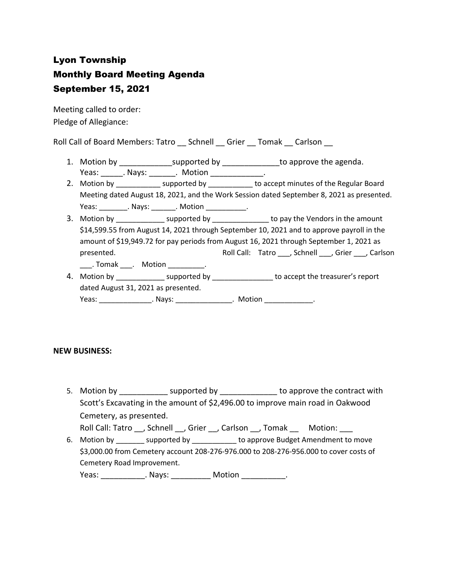# Lyon Township Monthly Board Meeting Agenda September 15, 2021

Meeting called to order: Pledge of Allegiance:

Roll Call of Board Members: Tatro \_\_ Schnell \_\_ Grier \_\_ Tomak \_\_ Carlson \_\_

- 1. Motion by \_\_\_\_\_\_\_\_\_\_\_\_\_\_\_supported by \_\_\_\_\_\_\_\_\_\_\_\_\_\_\_to approve the agenda. Yeas: Nays: Notion Reas: Newsian Motion
- 2. Motion by \_\_\_\_\_\_\_\_\_\_\_\_\_ supported by \_\_\_\_\_\_\_\_\_\_\_ to accept minutes of the Regular Board Meeting dated August 18, 2021, and the Work Session dated September 8, 2021 as presented. Yeas: \_\_\_\_\_\_\_\_\_. Nays: \_\_\_\_\_\_\_. Motion \_\_\_\_\_\_\_\_\_\_\_.
- 3. Motion by \_\_\_\_\_\_\_\_\_\_\_\_\_\_\_ supported by \_\_\_\_\_\_\_\_\_\_\_\_\_\_\_\_\_ to pay the Vendors in the amount \$14,599.55 from August 14, 2021 through September 10, 2021 and to approve payroll in the amount of \$19,949.72 for pay periods from August 16, 2021 through September 1, 2021 as presented. Tatro \_\_\_, Schnell \_\_, Grier \_\_\_, Carlson \_\_\_\_. Tomak \_\_\_\_. Motion \_\_\_\_\_\_\_\_\_\_.
- 4. Motion by \_\_\_\_\_\_\_\_\_\_\_\_\_\_\_ supported by \_\_\_\_\_\_\_\_\_\_\_\_\_\_\_\_ to accept the treasurer's report dated August 31, 2021 as presented. Yeas: \_\_\_\_\_\_\_\_\_\_\_\_\_\_\_\_. Nays: \_\_\_\_\_\_\_\_\_\_\_\_\_\_\_\_. Motion \_\_\_\_\_\_\_\_\_\_\_\_\_\_.

## **NEW BUSINESS:**

5. Motion by **EXACTE SUPPORTED SUPPORTED BY** to approve the contract with Scott's Excavating in the amount of \$2,496.00 to improve main road in Oakwood Cemetery, as presented.

Roll Call: Tatro , Schnell , Grier , Carlson , Tomak Motion:

6. Motion by example by to approve Budget Amendment to move \$3,000.00 from Cemetery account 208-276-976.000 to 208-276-956.000 to cover costs of Cemetery Road Improvement.

Yeas: \_\_\_\_\_\_\_\_\_\_\_\_\_. Nays: \_\_\_\_\_\_\_\_\_\_\_\_ Motion \_\_\_\_\_\_\_\_\_\_\_\_.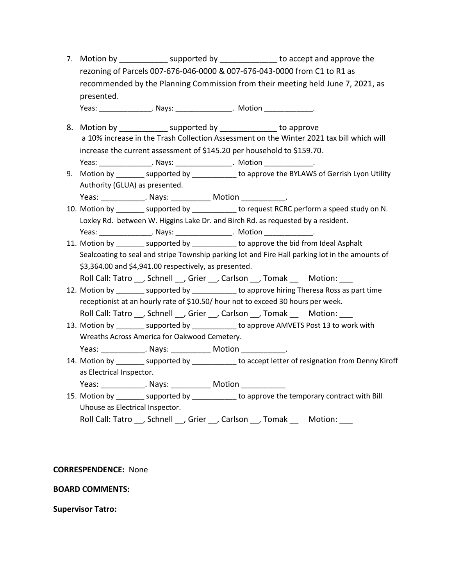7. Motion by **Example 3** supported by **Example 2** to accept and approve the rezoning of Parcels 007-676-046-0000 & 007-676-043-0000 from C1 to R1 as recommended by the Planning Commission from their meeting held June 7, 2021, as presented.

Yeas: Nays: Analys: Analys: Analys: Analysis Analysis Analysis Analysis Analysis Analysis Analysis Analysis An

- 8. Motion by example supported by to approve a 10% increase in the Trash Collection Assessment on the Winter 2021 tax bill which will increase the current assessment of \$145.20 per household to \$159.70. Yeas: \_\_\_\_\_\_\_\_\_\_\_\_\_\_\_\_\_. Nays: \_\_\_\_\_\_\_\_\_\_\_\_\_\_\_\_\_. Motion \_\_\_\_\_\_\_\_\_\_\_\_\_\_\_.
- 9. Motion by \_\_\_\_\_\_\_ supported by \_\_\_\_\_\_\_\_\_\_ to approve the BYLAWS of Gerrish Lyon Utility Authority (GLUA) as presented.
- Yeas: \_\_\_\_\_\_\_\_\_\_\_\_. Nays: \_\_\_\_\_\_\_\_\_\_\_\_ Motion \_\_\_\_\_\_\_\_\_\_\_\_.
- 10. Motion by \_\_\_\_\_\_\_\_ supported by \_\_\_\_\_\_\_\_\_\_\_ to request RCRC perform a speed study on N. Loxley Rd. between W. Higgins Lake Dr. and Birch Rd. as requested by a resident. Yeas: \_\_\_\_\_\_\_\_\_\_\_\_\_\_\_\_\_. Nays: \_\_\_\_\_\_\_\_\_\_\_\_\_\_\_\_\_. Motion \_\_\_\_\_\_\_\_\_\_\_\_\_\_\_.
- 11. Motion by example to approve the bid from Ideal Asphalt Sealcoating to seal and stripe Township parking lot and Fire Hall parking lot in the amounts of \$3,364.00 and \$4,941.00 respectively, as presented.
	- Roll Call: Tatro , Schnell , Grier , Carlson , Tomak Motion:
- 12. Motion by example to approve hiring Theresa Ross as part time receptionist at an hourly rate of \$10.50/ hour not to exceed 30 hours per week. Roll Call: Tatro , Schnell , Grier , Carlson , Tomak Motion:
- 13. Motion by \_\_\_\_\_\_\_\_ supported by \_\_\_\_\_\_\_\_\_\_\_ to approve AMVETS Post 13 to work with Wreaths Across America for Oakwood Cemetery. Yeas: \_\_\_\_\_\_\_\_\_\_\_\_\_. Nays: \_\_\_\_\_\_\_\_\_\_\_\_ Motion \_\_\_\_\_\_\_\_\_\_\_\_.
- 14. Motion by \_\_\_\_\_\_\_ supported by \_\_\_\_\_\_\_\_\_\_ to accept letter of resignation from Denny Kiroff as Electrical Inspector.

Yeas: \_\_\_\_\_\_\_\_\_\_\_\_\_\_. Nays: \_\_\_\_\_\_\_\_\_\_\_\_\_ Motion \_\_\_\_\_\_\_\_\_\_\_\_\_

15. Motion by \_\_\_\_\_\_\_\_ supported by \_\_\_\_\_\_\_\_\_\_\_ to approve the temporary contract with Bill Uhouse as Electrical Inspector.

Roll Call: Tatro \_\_, Schnell \_\_, Grier \_\_, Carlson \_\_, Tomak \_\_\_\_ Motion:

### **CORRESPENDENCE:** None

### **BOARD COMMENTS:**

### **Supervisor Tatro:**